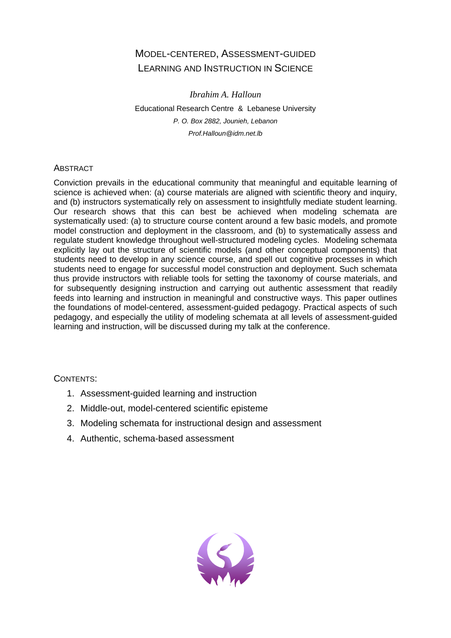# MODEL-CENTERED, ASSESSMENT-GUIDED LEARNING AND INSTRUCTION IN SCIENCE

*Ibrahim A. Halloun*  Educational Research Centre & Lebanese University *P. O. Box 2882, Jounieh, Lebanon Prof.Halloun@idm.net.lb* 

# **ABSTRACT**

Conviction prevails in the educational community that meaningful and equitable learning of science is achieved when: (a) course materials are aligned with scientific theory and inquiry, and (b) instructors systematically rely on assessment to insightfully mediate student learning. Our research shows that this can best be achieved when modeling schemata are systematically used: (a) to structure course content around a few basic models, and promote model construction and deployment in the classroom, and (b) to systematically assess and regulate student knowledge throughout well-structured modeling cycles. Modeling schemata explicitly lay out the structure of scientific models (and other conceptual components) that students need to develop in any science course, and spell out cognitive processes in which students need to engage for successful model construction and deployment. Such schemata thus provide instructors with reliable tools for setting the taxonomy of course materials, and for subsequently designing instruction and carrying out authentic assessment that readily feeds into learning and instruction in meaningful and constructive ways. This paper outlines the foundations of model-centered, assessment-guided pedagogy. Practical aspects of such pedagogy, and especially the utility of modeling schemata at all levels of assessment-guided learning and instruction, will be discussed during my talk at the conference.

# CONTENTS:

- 1. Assessment-guided learning and instruction
- 2. Middle-out, model-centered scientific episteme
- 3. Modeling schemata for instructional design and assessment
- 4. Authentic, schema-based assessment

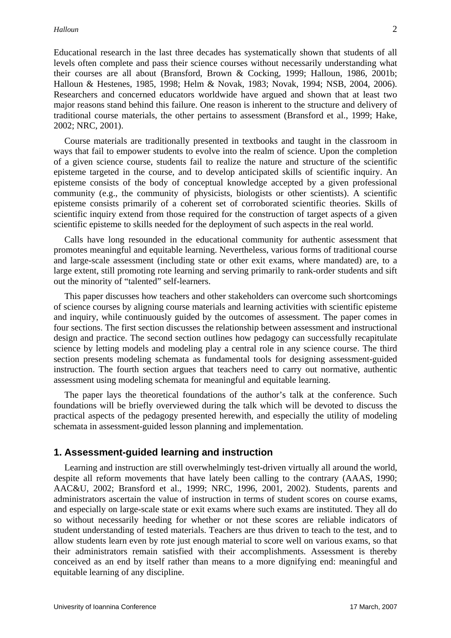Educational research in the last three decades has systematically shown that students of all levels often complete and pass their science courses without necessarily understanding what their courses are all about (Bransford, Brown & Cocking, 1999; Halloun, 1986, 2001b; Halloun & Hestenes, 1985, 1998; Helm & Novak, 1983; Novak, 1994; NSB, 2004, 2006). Researchers and concerned educators worldwide have argued and shown that at least two major reasons stand behind this failure. One reason is inherent to the structure and delivery of traditional course materials, the other pertains to assessment (Bransford et al., 1999; Hake, 2002; NRC, 2001).

 Course materials are traditionally presented in textbooks and taught in the classroom in ways that fail to empower students to evolve into the realm of science. Upon the completion of a given science course, students fail to realize the nature and structure of the scientific episteme targeted in the course, and to develop anticipated skills of scientific inquiry. An episteme consists of the body of conceptual knowledge accepted by a given professional community (e.g., the community of physicists, biologists or other scientists). A scientific episteme consists primarily of a coherent set of corroborated scientific theories. Skills of scientific inquiry extend from those required for the construction of target aspects of a given scientific episteme to skills needed for the deployment of such aspects in the real world.

 Calls have long resounded in the educational community for authentic assessment that promotes meaningful and equitable learning. Nevertheless, various forms of traditional course and large-scale assessment (including state or other exit exams, where mandated) are, to a large extent, still promoting rote learning and serving primarily to rank-order students and sift out the minority of "talented" self-learners.

 This paper discusses how teachers and other stakeholders can overcome such shortcomings of science courses by aligning course materials and learning activities with scientific episteme and inquiry, while continuously guided by the outcomes of assessment. The paper comes in four sections. The first section discusses the relationship between assessment and instructional design and practice. The second section outlines how pedagogy can successfully recapitulate science by letting models and modeling play a central role in any science course. The third section presents modeling schemata as fundamental tools for designing assessment-guided instruction. The fourth section argues that teachers need to carry out normative, authentic assessment using modeling schemata for meaningful and equitable learning.

 The paper lays the theoretical foundations of the author's talk at the conference. Such foundations will be briefly overviewed during the talk which will be devoted to discuss the practical aspects of the pedagogy presented herewith, and especially the utility of modeling schemata in assessment-guided lesson planning and implementation.

#### **1. Assessment-guided learning and instruction**

 Learning and instruction are still overwhelmingly test-driven virtually all around the world, despite all reform movements that have lately been calling to the contrary (AAAS, 1990; AAC&U, 2002; Bransford et al., 1999; NRC, 1996, 2001, 2002). Students, parents and administrators ascertain the value of instruction in terms of student scores on course exams, and especially on large-scale state or exit exams where such exams are instituted. They all do so without necessarily heeding for whether or not these scores are reliable indicators of student understanding of tested materials. Teachers are thus driven to teach to the test, and to allow students learn even by rote just enough material to score well on various exams, so that their administrators remain satisfied with their accomplishments. Assessment is thereby conceived as an end by itself rather than means to a more dignifying end: meaningful and equitable learning of any discipline.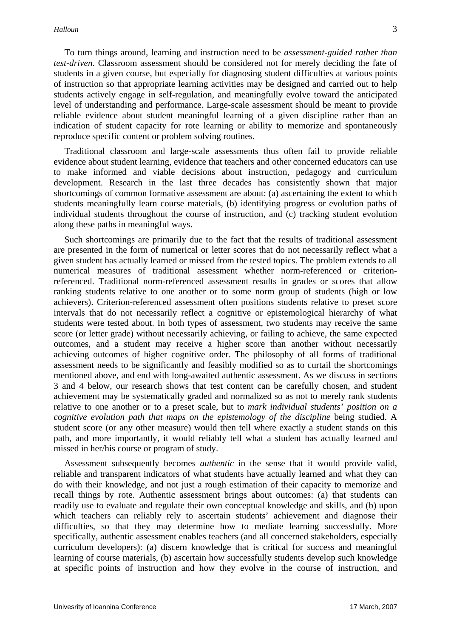To turn things around, learning and instruction need to be *assessment-guided rather than test-driven*. Classroom assessment should be considered not for merely deciding the fate of students in a given course, but especially for diagnosing student difficulties at various points of instruction so that appropriate learning activities may be designed and carried out to help students actively engage in self-regulation, and meaningfully evolve toward the anticipated level of understanding and performance. Large-scale assessment should be meant to provide reliable evidence about student meaningful learning of a given discipline rather than an indication of student capacity for rote learning or ability to memorize and spontaneously reproduce specific content or problem solving routines.

 Traditional classroom and large-scale assessments thus often fail to provide reliable evidence about student learning, evidence that teachers and other concerned educators can use to make informed and viable decisions about instruction, pedagogy and curriculum development. Research in the last three decades has consistently shown that major shortcomings of common formative assessment are about: (a) ascertaining the extent to which students meaningfully learn course materials, (b) identifying progress or evolution paths of individual students throughout the course of instruction, and (c) tracking student evolution along these paths in meaningful ways.

 Such shortcomings are primarily due to the fact that the results of traditional assessment are presented in the form of numerical or letter scores that do not necessarily reflect what a given student has actually learned or missed from the tested topics. The problem extends to all numerical measures of traditional assessment whether norm-referenced or criterionreferenced. Traditional norm-referenced assessment results in grades or scores that allow ranking students relative to one another or to some norm group of students (high or low achievers). Criterion-referenced assessment often positions students relative to preset score intervals that do not necessarily reflect a cognitive or epistemological hierarchy of what students were tested about. In both types of assessment, two students may receive the same score (or letter grade) without necessarily achieving, or failing to achieve, the same expected outcomes, and a student may receive a higher score than another without necessarily achieving outcomes of higher cognitive order. The philosophy of all forms of traditional assessment needs to be significantly and feasibly modified so as to curtail the shortcomings mentioned above, and end with long-awaited authentic assessment. As we discuss in sections 3 and 4 below, our research shows that test content can be carefully chosen, and student achievement may be systematically graded and normalized so as not to merely rank students relative to one another or to a preset scale, but to *mark individual students' position on a cognitive evolution path that maps on the epistemology of the discipline* being studied. A student score (or any other measure) would then tell where exactly a student stands on this path, and more importantly, it would reliably tell what a student has actually learned and missed in her/his course or program of study.

 Assessment subsequently becomes *authentic* in the sense that it would provide valid, reliable and transparent indicators of what students have actually learned and what they can do with their knowledge, and not just a rough estimation of their capacity to memorize and recall things by rote. Authentic assessment brings about outcomes: (a) that students can readily use to evaluate and regulate their own conceptual knowledge and skills, and (b) upon which teachers can reliably rely to ascertain students' achievement and diagnose their difficulties, so that they may determine how to mediate learning successfully. More specifically, authentic assessment enables teachers (and all concerned stakeholders, especially curriculum developers): (a) discern knowledge that is critical for success and meaningful learning of course materials, (b) ascertain how successfully students develop such knowledge at specific points of instruction and how they evolve in the course of instruction, and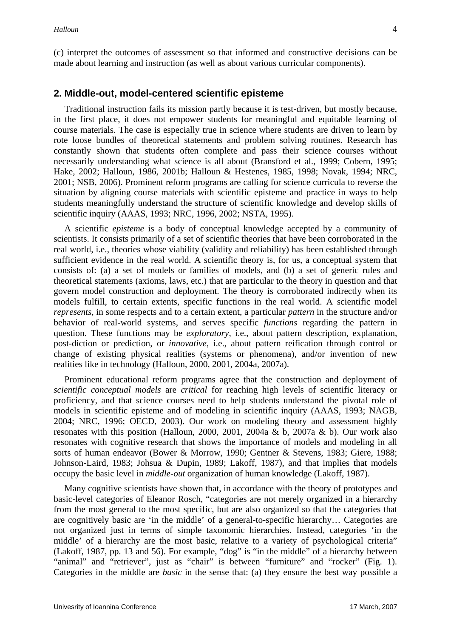(c) interpret the outcomes of assessment so that informed and constructive decisions can be made about learning and instruction (as well as about various curricular components).

#### **2. Middle-out, model-centered scientific episteme**

 Traditional instruction fails its mission partly because it is test-driven, but mostly because, in the first place, it does not empower students for meaningful and equitable learning of course materials. The case is especially true in science where students are driven to learn by rote loose bundles of theoretical statements and problem solving routines. Research has constantly shown that students often complete and pass their science courses without necessarily understanding what science is all about (Bransford et al., 1999; Cobern, 1995; Hake, 2002; Halloun, 1986, 2001b; Halloun & Hestenes, 1985, 1998; Novak, 1994; NRC, 2001; NSB, 2006). Prominent reform programs are calling for science curricula to reverse the situation by aligning course materials with scientific episteme and practice in ways to help students meaningfully understand the structure of scientific knowledge and develop skills of scientific inquiry (AAAS, 1993; NRC, 1996, 2002; NSTA, 1995).

 A scientific *episteme* is a body of conceptual knowledge accepted by a community of scientists. It consists primarily of a set of scientific theories that have been corroborated in the real world, i.e., theories whose viability (validity and reliability) has been established through sufficient evidence in the real world. A scientific theory is, for us, a conceptual system that consists of: (a) a set of models or families of models, and (b) a set of generic rules and theoretical statements (axioms, laws, etc.) that are particular to the theory in question and that govern model construction and deployment. The theory is corroborated indirectly when its models fulfill, to certain extents, specific functions in the real world. A scientific model *represents*, in some respects and to a certain extent, a particular *pattern* in the structure and/or behavior of real-world systems, and serves specific *functions* regarding the pattern in question. These functions may be *exploratory*, i.e., about pattern description, explanation, post-diction or prediction, or *innovative*, i.e., about pattern reification through control or change of existing physical realities (systems or phenomena), and/or invention of new realities like in technology (Halloun, 2000, 2001, 2004a, 2007a).

 Prominent educational reform programs agree that the construction and deployment of *scientific conceptual models* are *critical* for reaching high levels of scientific literacy or proficiency, and that science courses need to help students understand the pivotal role of models in scientific episteme and of modeling in scientific inquiry (AAAS, 1993; NAGB, 2004; NRC, 1996; OECD, 2003). Our work on modeling theory and assessment highly resonates with this position (Halloun, 2000, 2001, 2004a & b, 2007a & b). Our work also resonates with cognitive research that shows the importance of models and modeling in all sorts of human endeavor (Bower & Morrow, 1990; Gentner & Stevens, 1983; Giere, 1988; Johnson-Laird, 1983; Johsua & Dupin, 1989; Lakoff, 1987), and that implies that models occupy the basic level in *middle-out* organization of human knowledge (Lakoff, 1987).

 Many cognitive scientists have shown that, in accordance with the theory of prototypes and basic-level categories of Eleanor Rosch, "categories are not merely organized in a hierarchy from the most general to the most specific, but are also organized so that the categories that are cognitively basic are 'in the middle' of a general-to-specific hierarchy… Categories are not organized just in terms of simple taxonomic hierarchies. Instead, categories 'in the middle' of a hierarchy are the most basic, relative to a variety of psychological criteria" (Lakoff, 1987, pp. 13 and 56). For example, "dog" is "in the middle" of a hierarchy between "animal" and "retriever", just as "chair" is between "furniture" and "rocker" (Fig. 1). Categories in the middle are *basic* in the sense that: (a) they ensure the best way possible a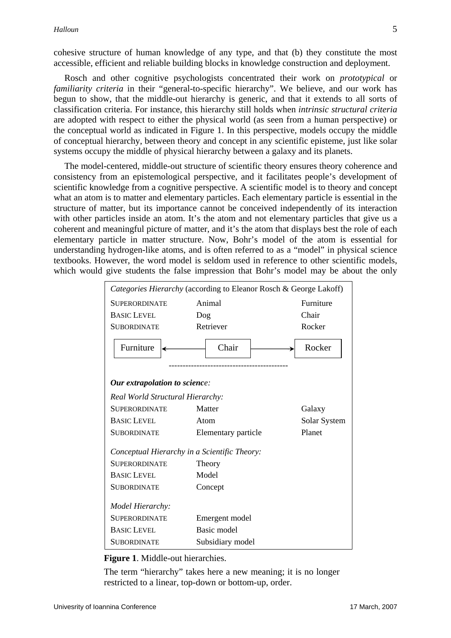Rosch and other cognitive psychologists concentrated their work on *prototypical* or *familiarity criteria* in their "general-to-specific hierarchy". We believe, and our work has begun to show, that the middle-out hierarchy is generic, and that it extends to all sorts of classification criteria. For instance, this hierarchy still holds when *intrinsic structural criteria* are adopted with respect to either the physical world (as seen from a human perspective) or the conceptual world as indicated in Figure 1. In this perspective, models occupy the middle of conceptual hierarchy, between theory and concept in any scientific episteme, just like solar systems occupy the middle of physical hierarchy between a galaxy and its planets.

 The model-centered, middle-out structure of scientific theory ensures theory coherence and consistency from an epistemological perspective, and it facilitates people's development of scientific knowledge from a cognitive perspective. A scientific model is to theory and concept what an atom is to matter and elementary particles. Each elementary particle is essential in the structure of matter, but its importance cannot be conceived independently of its interaction with other particles inside an atom. It's the atom and not elementary particles that give us a coherent and meaningful picture of matter, and it's the atom that displays best the role of each elementary particle in matter structure. Now, Bohr's model of the atom is essential for understanding hydrogen-like atoms, and is often referred to as a "model" in physical science textbooks. However, the word model is seldom used in reference to other scientific models, which would give students the false impression that Bohr's model may be about the only

| Categories Hierarchy (according to Eleanor Rosch & George Lakoff) |                     |              |
|-------------------------------------------------------------------|---------------------|--------------|
| <b>SUPERORDINATE</b>                                              | Animal              | Furniture    |
| <b>BASIC LEVEL</b>                                                | Dog                 | Chair        |
| <b>SUBORDINATE</b>                                                | Retriever           | Rocker       |
| Furniture                                                         | Chair               | Rocker       |
| Our extrapolation to science:                                     |                     |              |
| Real World Structural Hierarchy:                                  |                     |              |
| <b>SUPERORDINATE</b>                                              | Matter              | Galaxy       |
| <b>BASIC LEVEL</b>                                                | Atom                | Solar System |
| <b>SUBORDINATE</b>                                                | Elementary particle | Planet       |
| Conceptual Hierarchy in a Scientific Theory:                      |                     |              |
| <b>SUPERORDINATE</b>                                              | Theory              |              |
| <b>BASIC LEVEL</b>                                                | Model               |              |
| <b>SUBORDINATE</b>                                                | Concept             |              |
| Model Hierarchy:                                                  |                     |              |
| <b>SUPERORDINATE</b>                                              | Emergent model      |              |
| <b>BASIC LEVEL</b>                                                | Basic model         |              |
| <b>SUBORDINATE</b>                                                | Subsidiary model    |              |

**Figure 1**. Middle-out hierarchies.

The term "hierarchy" takes here a new meaning; it is no longer restricted to a linear, top-down or bottom-up, order.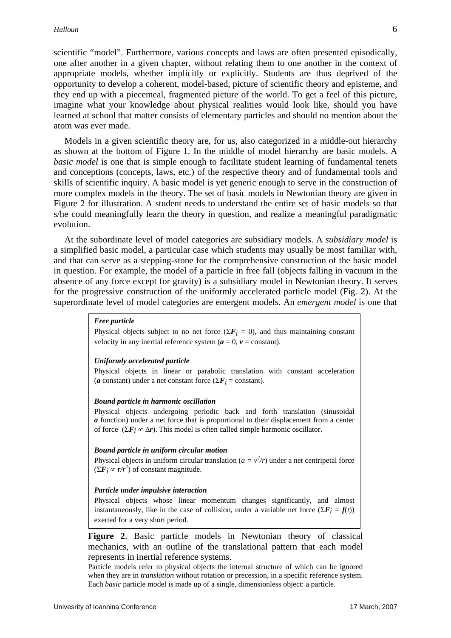scientific "model". Furthermore, various concepts and laws are often presented episodically, one after another in a given chapter, without relating them to one another in the context of appropriate models, whether implicitly or explicitly. Students are thus deprived of the opportunity to develop a coherent, model-based, picture of scientific theory and episteme, and they end up with a piecemeal, fragmented picture of the world. To get a feel of this picture, imagine what your knowledge about physical realities would look like, should you have learned at school that matter consists of elementary particles and should no mention about the atom was ever made.

 Models in a given scientific theory are, for us, also categorized in a middle-out hierarchy as shown at the bottom of Figure 1. In the middle of model hierarchy are basic models. A *basic model* is one that is simple enough to facilitate student learning of fundamental tenets and conceptions (concepts, laws, etc.) of the respective theory and of fundamental tools and skills of scientific inquiry. A basic model is yet generic enough to serve in the construction of more complex models in the theory. The set of basic models in Newtonian theory are given in Figure 2 for illustration. A student needs to understand the entire set of basic models so that s/he could meaningfully learn the theory in question, and realize a meaningful paradigmatic evolution.

 At the subordinate level of model categories are subsidiary models. A *subsidiary model* is a simplified basic model, a particular case which students may usually be most familiar with, and that can serve as a stepping-stone for the comprehensive construction of the basic model in question. For example, the model of a particle in free fall (objects falling in vacuum in the absence of any force except for gravity) is a subsidiary model in Newtonian theory. It serves for the progressive construction of the uniformly accelerated particle model (Fig. 2). At the superordinate level of model categories are emergent models. An *emergent model* is one that

#### *Free particle*

Physical objects subject to no net force ( $\Sigma F_i = 0$ ), and thus maintaining constant velocity in any inertial reference system  $(a = 0, v = constant)$ .

#### *Uniformly accelerated particle*

Physical objects in linear or parabolic translation with constant acceleration (*a* constant) under a net constant force ( $\Sigma F_i$  = constant).

#### *Bound particle in harmonic oscillation*

Physical objects undergoing periodic back and forth translation (sinusoidal *a* function) under a net force that is proportional to their displacement from a center of force  $(\Sigma \vec{F}_i \propto \Delta r)$ . This model is often called simple harmonic oscillator.

#### *Bound particle in uniform circular motion*

Physical objects in uniform circular translation  $(a = v^2/r)$  under a net centripetal force  $(\Sigma \vec{F}_i \propto r/r^2)$  of constant magnitude.

#### *Particle under impulsive interaction*

Physical objects whose linear momentum changes significantly, and almost instantaneously, like in the case of collision, under a variable net force  $(\sum F_i = f(t))$ exerted for a very short period.

**Figure 2**. Basic particle models in Newtonian theory of classical mechanics, with an outline of the translational pattern that each model represents in inertial reference systems.

Particle models refer to physical objects the internal structure of which can be ignored when they are in *translation* without rotation or precession, in a specific reference system. Each *basic* particle model is made up of a single, dimensionless object: a particle.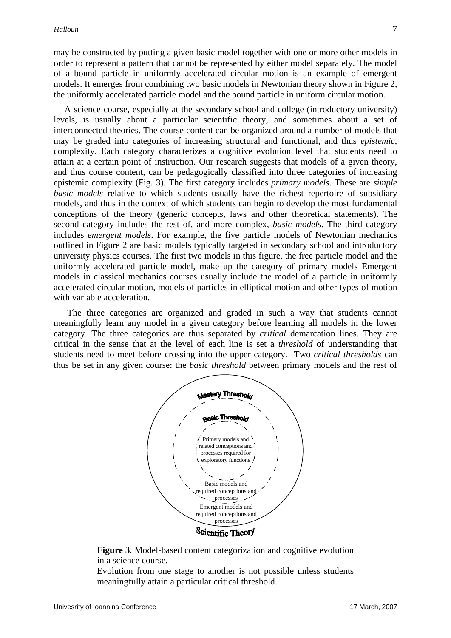may be constructed by putting a given basic model together with one or more other models in order to represent a pattern that cannot be represented by either model separately. The model of a bound particle in uniformly accelerated circular motion is an example of emergent models. It emerges from combining two basic models in Newtonian theory shown in Figure 2, the uniformly accelerated particle model and the bound particle in uniform circular motion.

 A science course, especially at the secondary school and college (introductory university) levels, is usually about a particular scientific theory, and sometimes about a set of interconnected theories. The course content can be organized around a number of models that may be graded into categories of increasing structural and functional, and thus *epistemic*, complexity. Each category characterizes a cognitive evolution level that students need to attain at a certain point of instruction. Our research suggests that models of a given theory, and thus course content, can be pedagogically classified into three categories of increasing epistemic complexity (Fig. 3). The first category includes *primary models*. These are *simple basic models* relative to which students usually have the richest repertoire of subsidiary models, and thus in the context of which students can begin to develop the most fundamental conceptions of the theory (generic concepts, laws and other theoretical statements). The second category includes the rest of, and more complex, *basic models*. The third category includes *emergent models*. For example, the five particle models of Newtonian mechanics outlined in Figure 2 are basic models typically targeted in secondary school and introductory university physics courses. The first two models in this figure, the free particle model and the uniformly accelerated particle model, make up the category of primary models Emergent models in classical mechanics courses usually include the model of a particle in uniformly accelerated circular motion, models of particles in elliptical motion and other types of motion with variable acceleration.

 The three categories are organized and graded in such a way that students cannot meaningfully learn any model in a given category before learning all models in the lower category. The three categories are thus separated by *critical* demarcation lines. They are critical in the sense that at the level of each line is set a *threshold* of understanding that students need to meet before crossing into the upper category. Two *critical thresholds* can thus be set in any given course: the *basic threshold* between primary models and the rest of



**Figure 3**. Model-based content categorization and cognitive evolution in a science course.

Evolution from one stage to another is not possible unless students meaningfully attain a particular critical threshold.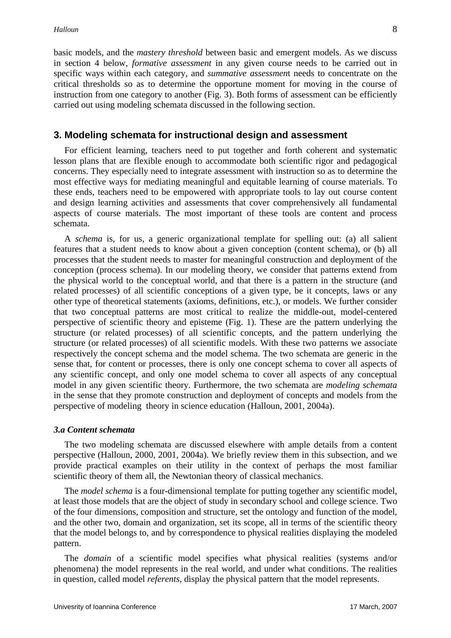basic models, and the *mastery threshold* between basic and emergent models. As we discuss in section 4 below, *formative assessment* in any given course needs to be carried out in specific ways within each category, and *summative assessmen*t needs to concentrate on the critical thresholds so as to determine the opportune moment for moving in the course of instruction from one category to another (Fig. 3). Both forms of assessment can be efficiently carried out using modeling schemata discussed in the following section.

# **3. Modeling schemata for instructional design and assessment**

 For efficient learning, teachers need to put together and forth coherent and systematic lesson plans that are flexible enough to accommodate both scientific rigor and pedagogical concerns. They especially need to integrate assessment with instruction so as to determine the most effective ways for mediating meaningful and equitable learning of course materials. To these ends, teachers need to be empowered with appropriate tools to lay out course content and design learning activities and assessments that cover comprehensively all fundamental aspects of course materials. The most important of these tools are content and process schemata.

 A *schema* is, for us, a generic organizational template for spelling out: (a) all salient features that a student needs to know about a given conception (content schema), or (b) all processes that the student needs to master for meaningful construction and deployment of the conception (process schema). In our modeling theory, we consider that patterns extend from the physical world to the conceptual world, and that there is a pattern in the structure (and related processes) of all scientific conceptions of a given type, be it concepts, laws or any other type of theoretical statements (axioms, definitions, etc.), or models. We further consider that two conceptual patterns are most critical to realize the middle-out, model-centered perspective of scientific theory and episteme (Fig. 1). These are the pattern underlying the structure (or related processes) of all scientific concepts, and the pattern underlying the structure (or related processes) of all scientific models. With these two patterns we associate respectively the concept schema and the model schema. The two schemata are generic in the sense that, for content or processes, there is only one concept schema to cover all aspects of any scientific concept, and only one model schema to cover all aspects of any conceptual model in any given scientific theory. Furthermore, the two schemata are *modeling schemata* in the sense that they promote construction and deployment of concepts and models from the perspective of modeling theory in science education (Halloun, 2001, 2004a).

### *3.a Content schemata*

 The two modeling schemata are discussed elsewhere with ample details from a content perspective (Halloun, 2000, 2001, 2004a). We briefly review them in this subsection, and we provide practical examples on their utility in the context of perhaps the most familiar scientific theory of them all, the Newtonian theory of classical mechanics.

 The *model schema* is a four-dimensional template for putting together any scientific model, at least those models that are the object of study in secondary school and college science. Two of the four dimensions, composition and structure, set the ontology and function of the model, and the other two, domain and organization, set its scope, all in terms of the scientific theory that the model belongs to, and by correspondence to physical realities displaying the modeled pattern.

 The *domain* of a scientific model specifies what physical realities (systems and/or phenomena) the model represents in the real world, and under what conditions. The realities in question, called model *referents*, display the physical pattern that the model represents.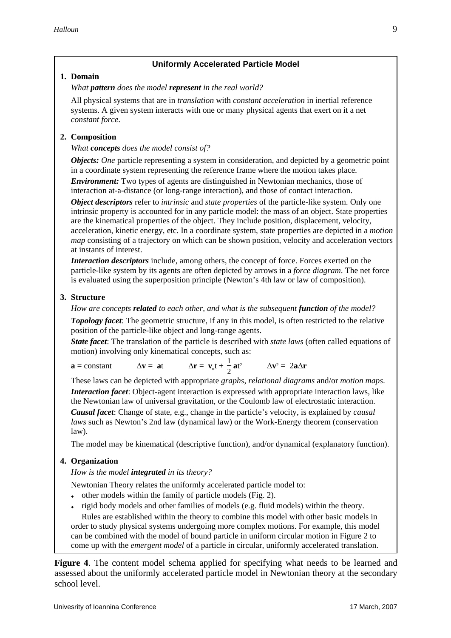# **Uniformly Accelerated Particle Model**

#### **1. Domain**

*What pattern does the model represent in the real world?* 

All physical systems that are in *translation* with *constant acceleration* in inertial reference systems. A given system interacts with one or many physical agents that exert on it a net *constant force*.

# **2. Composition**

#### *What concepts does the model consist of?*

*Objects: One* particle representing a system in consideration, and depicted by a geometric point in a coordinate system representing the reference frame where the motion takes place.

 *Environment:* Two types of agents are distinguished in Newtonian mechanics, those of interaction at-a-distance (or long-range interaction), and those of contact interaction.

 *Object descriptors* refer to *intrinsic* and *state properties* of the particle-like system. Only one intrinsic property is accounted for in any particle model: the mass of an object. State properties are the kinematical properties of the object. They include position, displacement, velocity, acceleration, kinetic energy, etc. In a coordinate system, state properties are depicted in a *motion map* consisting of a trajectory on which can be shown position, velocity and acceleration vectors at instants of interest.

 *Interaction descriptors* include, among others, the concept of force. Forces exerted on the particle-like system by its agents are often depicted by arrows in a *force diagram*. The net force is evaluated using the superposition principle (Newton's 4th law or law of composition).

### **3. Structure**

*How are concepts related to each other, and what is the subsequent function of the model?* 

 *Topology facet*: The geometric structure, if any in this model, is often restricted to the relative position of the particle-like object and long-range agents.

 *State facet*: The translation of the particle is described with *state laws* (often called equations of motion) involving only kinematical concepts, such as:

$$
\mathbf{a} = \text{constant} \qquad \qquad \Delta \mathbf{v} = \mathbf{a} \mathbf{t} \qquad \qquad \Delta \mathbf{r} = \mathbf{v}_{o} \mathbf{t} + \frac{1}{2} \mathbf{a} \mathbf{t}^{2} \qquad \qquad \Delta \mathbf{v}^{2} = 2 \mathbf{a} \Delta \mathbf{r}
$$

 These laws can be depicted with appropriate *graphs*, *relational diagrams* and/or *motion maps*. *Interaction facet*: Object-agent interaction is expressed with appropriate interaction laws, like the Newtonian law of universal gravitation, or the Coulomb law of electrostatic interaction.  *Causal facet*: Change of state, e.g., change in the particle's velocity, is explained by *causal laws* such as Newton's 2nd law (dynamical law) or the Work-Energy theorem (conservation law).

The model may be kinematical (descriptive function), and/or dynamical (explanatory function).

### **4. Organization**

*How is the model integrated in its theory?* 

Newtonian Theory relates the uniformly accelerated particle model to:

- $\bullet$  other models within the family of particle models (Fig. 2).
- rigid body models and other families of models (e.g. fluid models) within the theory. Rules are established within the theory to combine this model with other basic models in order to study physical systems undergoing more complex motions. For example, this model can be combined with the model of bound particle in uniform circular motion in Figure 2 to come up with the *emergent model* of a particle in circular, uniformly accelerated translation.

**Figure 4.** The content model schema applied for specifying what needs to be learned and assessed about the uniformly accelerated particle model in Newtonian theory at the secondary school level.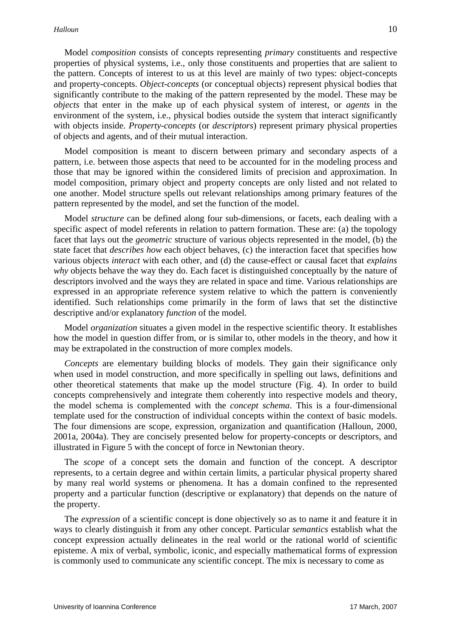Model *composition* consists of concepts representing *primary* constituents and respective properties of physical systems, i.e., only those constituents and properties that are salient to the pattern. Concepts of interest to us at this level are mainly of two types: object-concepts and property-concepts. *Object-concepts* (or conceptual objects) represent physical bodies that significantly contribute to the making of the pattern represented by the model. These may be *objects* that enter in the make up of each physical system of interest, or *agents* in the environment of the system, i.e., physical bodies outside the system that interact significantly with objects inside. *Property-concepts* (or *descriptors*) represent primary physical properties of objects and agents, and of their mutual interaction.

 Model composition is meant to discern between primary and secondary aspects of a pattern, i.e. between those aspects that need to be accounted for in the modeling process and those that may be ignored within the considered limits of precision and approximation. In model composition, primary object and property concepts are only listed and not related to one another. Model structure spells out relevant relationships among primary features of the pattern represented by the model, and set the function of the model.

 Model *structure* can be defined along four sub-dimensions, or facets, each dealing with a specific aspect of model referents in relation to pattern formation. These are: (a) the topology facet that lays out the *geometric* structure of various objects represented in the model, (b) the state facet that *describes how* each object behaves, (c) the interaction facet that specifies how various objects *interact* with each other, and (d) the cause-effect or causal facet that *explains why* objects behave the way they do. Each facet is distinguished conceptually by the nature of descriptors involved and the ways they are related in space and time. Various relationships are expressed in an appropriate reference system relative to which the pattern is conveniently identified. Such relationships come primarily in the form of laws that set the distinctive descriptive and/or explanatory *function* of the model.

 Model *organization* situates a given model in the respective scientific theory. It establishes how the model in question differ from, or is similar to, other models in the theory, and how it may be extrapolated in the construction of more complex models.

*Concepts* are elementary building blocks of models. They gain their significance only when used in model construction, and more specifically in spelling out laws, definitions and other theoretical statements that make up the model structure (Fig. 4). In order to build concepts comprehensively and integrate them coherently into respective models and theory, the model schema is complemented with the *concept schema*. This is a four-dimensional template used for the construction of individual concepts within the context of basic models. The four dimensions are scope, expression, organization and quantification (Halloun, 2000, 2001a, 2004a). They are concisely presented below for property-concepts or descriptors, and illustrated in Figure 5 with the concept of force in Newtonian theory.

 The *scope* of a concept sets the domain and function of the concept. A descriptor represents, to a certain degree and within certain limits, a particular physical property shared by many real world systems or phenomena. It has a domain confined to the represented property and a particular function (descriptive or explanatory) that depends on the nature of the property.

 The *expression* of a scientific concept is done objectively so as to name it and feature it in ways to clearly distinguish it from any other concept. Particular *semantics* establish what the concept expression actually delineates in the real world or the rational world of scientific episteme. A mix of verbal, symbolic, iconic, and especially mathematical forms of expression is commonly used to communicate any scientific concept. The mix is necessary to come as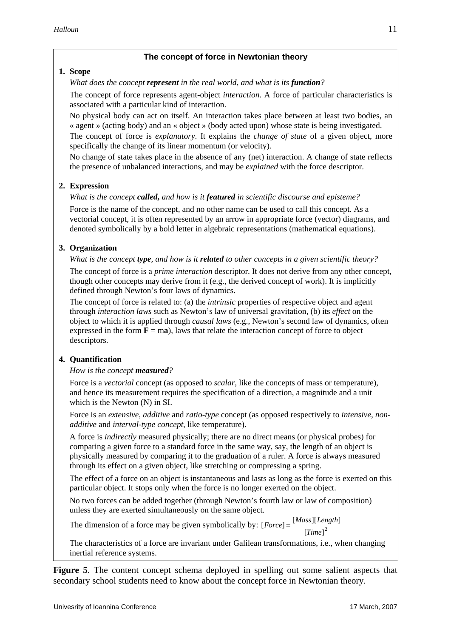### **The concept of force in Newtonian theory**

#### **1. Scope**

*What does the concept represent in the real world, and what is its function?* 

The concept of force represents agent-object *interaction*. A force of particular characteristics is associated with a particular kind of interaction.

No physical body can act on itself. An interaction takes place between at least two bodies, an « agent » (acting body) and an « object » (body acted upon) whose state is being investigated.

The concept of force is *explanatory*. It explains the *change of state* of a given object, more specifically the change of its linear momentum (or velocity).

No change of state takes place in the absence of any (net) interaction. A change of state reflects the presence of unbalanced interactions, and may be *explained* with the force descriptor.

# **2. Expression**

### *What is the concept called***,** *and how is it featured in scientific discourse and episteme?*

Force is the name of the concept, and no other name can be used to call this concept. As a vectorial concept, it is often represented by an arrow in appropriate force (vector) diagrams, and denoted symbolically by a bold letter in algebraic representations (mathematical equations).

### **3. Organization**

#### *What is the concept type, and how is it related to other concepts in a given scientific theory?*

The concept of force is a *prime interaction* descriptor. It does not derive from any other concept, though other concepts may derive from it (e.g., the derived concept of work). It is implicitly defined through Newton's four laws of dynamics.

The concept of force is related to: (a) the *intrinsic* properties of respective object and agent through *interaction laws* such as Newton's law of universal gravitation, (b) its *effect* on the object to which it is applied through *causal laws* (e.g., Newton's second law of dynamics, often expressed in the form  $\mathbf{F} = \mathbf{ma}$ ), laws that relate the interaction concept of force to object descriptors.

### **4. Quantification**

### *How is the concept measured?*

Force is a *vectorial* concept (as opposed to *scalar,* like the concepts of mass or temperature), and hence its measurement requires the specification of a direction, a magnitude and a unit which is the Newton (N) in SI.

Force is an *extensive, additive* and *ratio-type* concept (as opposed respectively to *intensive*, *nonadditive* and *interval-type concept*, like temperature).

A force is *indirectly* measured physically; there are no direct means (or physical probes) for comparing a given force to a standard force in the same way, say, the length of an object is physically measured by comparing it to the graduation of a ruler. A force is always measured through its effect on a given object, like stretching or compressing a spring.

The effect of a force on an object is instantaneous and lasts as long as the force is exerted on this particular object. It stops only when the force is no longer exerted on the object.

No two forces can be added together (through Newton's fourth law or law of composition) unless they are exerted simultaneously on the same object.

The dimension of a force may be given symbolically by:  $[Force] = \frac{[Mass][Length]}{[Time]^2}$ *Time*  $\text{Force} = \frac{[Mass][Length]}{2}$ 

The characteristics of a force are invariant under Galilean transformations, i.e., when changing inertial reference systems.

**Figure 5**. The content concept schema deployed in spelling out some salient aspects that secondary school students need to know about the concept force in Newtonian theory.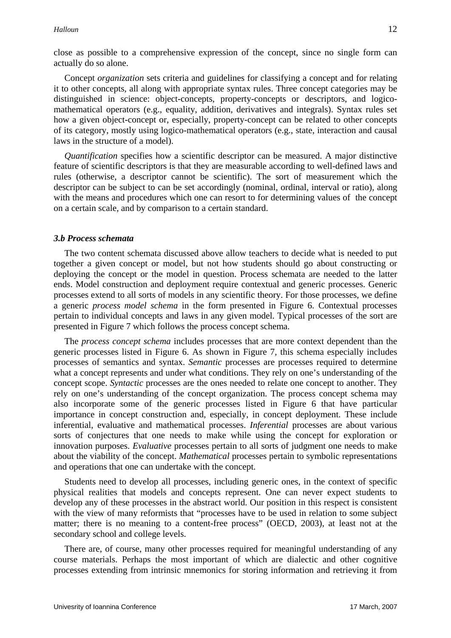close as possible to a comprehensive expression of the concept, since no single form can actually do so alone.

 Concept *organization* sets criteria and guidelines for classifying a concept and for relating it to other concepts, all along with appropriate syntax rules. Three concept categories may be distinguished in science: object-concepts, property-concepts or descriptors, and logicomathematical operators (e.g., equality, addition, derivatives and integrals). Syntax rules set how a given object-concept or, especially, property-concept can be related to other concepts of its category, mostly using logico-mathematical operators (e.g., state, interaction and causal laws in the structure of a model).

*Quantification* specifies how a scientific descriptor can be measured. A major distinctive feature of scientific descriptors is that they are measurable according to well-defined laws and rules (otherwise, a descriptor cannot be scientific). The sort of measurement which the descriptor can be subject to can be set accordingly (nominal, ordinal, interval or ratio), along with the means and procedures which one can resort to for determining values of the concept on a certain scale, and by comparison to a certain standard.

#### *3.b Process schemata*

 The two content schemata discussed above allow teachers to decide what is needed to put together a given concept or model, but not how students should go about constructing or deploying the concept or the model in question. Process schemata are needed to the latter ends. Model construction and deployment require contextual and generic processes. Generic processes extend to all sorts of models in any scientific theory. For those processes, we define a generic *process model schema* in the form presented in Figure 6. Contextual processes pertain to individual concepts and laws in any given model. Typical processes of the sort are presented in Figure 7 which follows the process concept schema.

 The *process concept schema* includes processes that are more context dependent than the generic processes listed in Figure 6. As shown in Figure 7, this schema especially includes processes of semantics and syntax. *Semantic* processes are processes required to determine what a concept represents and under what conditions. They rely on one's understanding of the concept scope. *Syntactic* processes are the ones needed to relate one concept to another. They rely on one's understanding of the concept organization. The process concept schema may also incorporate some of the generic processes listed in Figure 6 that have particular importance in concept construction and, especially, in concept deployment. These include inferential, evaluative and mathematical processes. *Inferential* processes are about various sorts of conjectures that one needs to make while using the concept for exploration or innovation purposes. *Evaluative* processes pertain to all sorts of judgment one needs to make about the viability of the concept. *Mathematical* processes pertain to symbolic representations and operations that one can undertake with the concept.

 Students need to develop all processes, including generic ones, in the context of specific physical realities that models and concepts represent. One can never expect students to develop any of these processes in the abstract world. Our position in this respect is consistent with the view of many reformists that "processes have to be used in relation to some subject matter; there is no meaning to a content-free process" (OECD, 2003), at least not at the secondary school and college levels.

 There are, of course, many other processes required for meaningful understanding of any course materials. Perhaps the most important of which are dialectic and other cognitive processes extending from intrinsic mnemonics for storing information and retrieving it from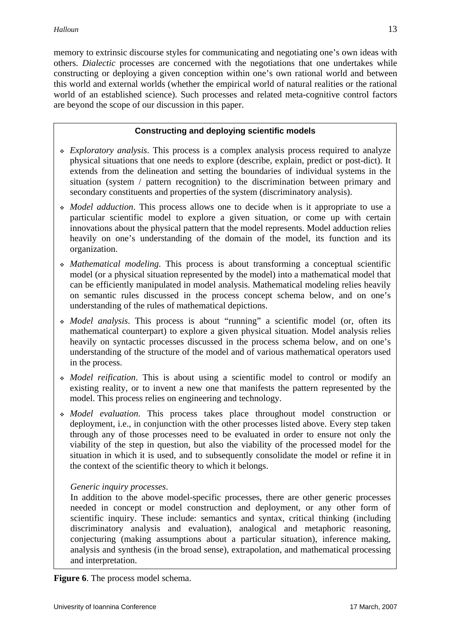memory to extrinsic discourse styles for communicating and negotiating one's own ideas with others. *Dialectic* processes are concerned with the negotiations that one undertakes while constructing or deploying a given conception within one's own rational world and between this world and external worlds (whether the empirical world of natural realities or the rational world of an established science). Such processes and related meta-cognitive control factors are beyond the scope of our discussion in this paper.

# **Constructing and deploying scientific models**

- *Exploratory analysis*. This process is a complex analysis process required to analyze physical situations that one needs to explore (describe, explain, predict or post-dict). It extends from the delineation and setting the boundaries of individual systems in the situation (system / pattern recognition) to the discrimination between primary and secondary constituents and properties of the system (discriminatory analysis).
- *Model adduction*. This process allows one to decide when is it appropriate to use a particular scientific model to explore a given situation, or come up with certain innovations about the physical pattern that the model represents. Model adduction relies heavily on one's understanding of the domain of the model, its function and its organization.
- *Mathematical modeling*. This process is about transforming a conceptual scientific model (or a physical situation represented by the model) into a mathematical model that can be efficiently manipulated in model analysis. Mathematical modeling relies heavily on semantic rules discussed in the process concept schema below, and on one's understanding of the rules of mathematical depictions.
- *Model analysis*. This process is about "running" a scientific model (or, often its mathematical counterpart) to explore a given physical situation. Model analysis relies heavily on syntactic processes discussed in the process schema below, and on one's understanding of the structure of the model and of various mathematical operators used in the process.
- *Model reification*. This is about using a scientific model to control or modify an existing reality, or to invent a new one that manifests the pattern represented by the model. This process relies on engineering and technology.
- *Model evaluation*. This process takes place throughout model construction or deployment, i.e., in conjunction with the other processes listed above. Every step taken through any of those processes need to be evaluated in order to ensure not only the viability of the step in question, but also the viability of the processed model for the situation in which it is used, and to subsequently consolidate the model or refine it in the context of the scientific theory to which it belongs.

### *Generic inquiry processes*.

In addition to the above model-specific processes, there are other generic processes needed in concept or model construction and deployment, or any other form of scientific inquiry. These include: semantics and syntax, critical thinking (including discriminatory analysis and evaluation), analogical and metaphoric reasoning, conjecturing (making assumptions about a particular situation), inference making, analysis and synthesis (in the broad sense), extrapolation, and mathematical processing and interpretation.

**Figure 6**. The process model schema.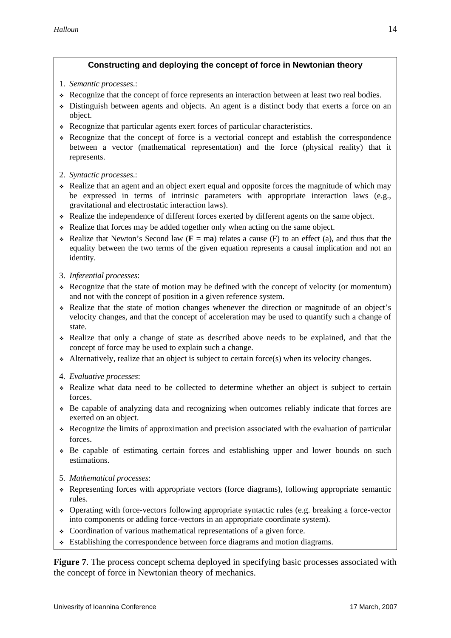# **Constructing and deploying the concept of force in Newtonian theory**

- 1. *Semantic processes*.:
- Recognize that the concept of force represents an interaction between at least two real bodies.
- Distinguish between agents and objects. An agent is a distinct body that exerts a force on an object.
- Recognize that particular agents exert forces of particular characteristics.
- Recognize that the concept of force is a vectorial concept and establish the correspondence between a vector (mathematical representation) and the force (physical reality) that it represents.
- 2. *Syntactic processes*.:
- Realize that an agent and an object exert equal and opposite forces the magnitude of which may be expressed in terms of intrinsic parameters with appropriate interaction laws (e.g., gravitational and electrostatic interaction laws).
- Realize the independence of different forces exerted by different agents on the same object.
- Realize that forces may be added together only when acting on the same object.
- $\div$  Realize that Newton's Second law ( $\bf{F} = ma$ ) relates a cause (F) to an effect (a), and thus that the equality between the two terms of the given equation represents a causal implication and not an identity.
- 3. *Inferential processes*:
- Recognize that the state of motion may be defined with the concept of velocity (or momentum) and not with the concept of position in a given reference system.
- Realize that the state of motion changes whenever the direction or magnitude of an object's velocity changes, and that the concept of acceleration may be used to quantify such a change of state.
- Realize that only a change of state as described above needs to be explained, and that the concept of force may be used to explain such a change.
- $\triangle$  Alternatively, realize that an object is subject to certain force(s) when its velocity changes.
- 4. *Evaluative processes*:
- Realize what data need to be collected to determine whether an object is subject to certain forces.
- $\div$  Be capable of analyzing data and recognizing when outcomes reliably indicate that forces are exerted on an object.
- Recognize the limits of approximation and precision associated with the evaluation of particular forces.
- Be capable of estimating certain forces and establishing upper and lower bounds on such estimations.
- 5. *Mathematical processes*:
- Representing forces with appropriate vectors (force diagrams), following appropriate semantic rules.
- Operating with force-vectors following appropriate syntactic rules (e.g. breaking a force-vector into components or adding force-vectors in an appropriate coordinate system).
- Coordination of various mathematical representations of a given force.
- $\div$  Establishing the correspondence between force diagrams and motion diagrams.

**Figure 7.** The process concept schema deployed in specifying basic processes associated with the concept of force in Newtonian theory of mechanics.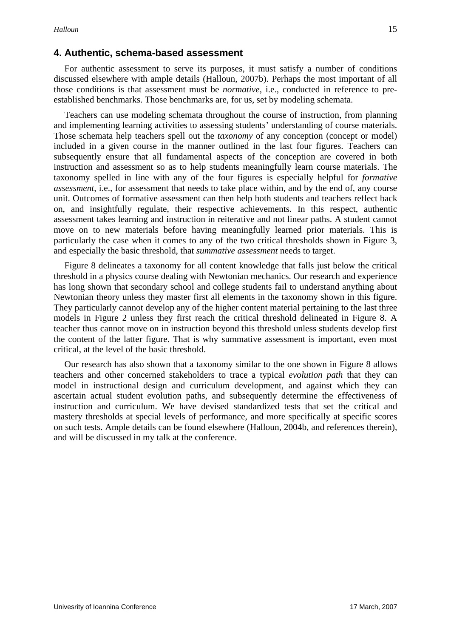# **4. Authentic, schema-based assessment**

 For authentic assessment to serve its purposes, it must satisfy a number of conditions discussed elsewhere with ample details (Halloun, 2007b). Perhaps the most important of all those conditions is that assessment must be *normative*, i.e., conducted in reference to preestablished benchmarks. Those benchmarks are, for us, set by modeling schemata.

 Teachers can use modeling schemata throughout the course of instruction, from planning and implementing learning activities to assessing students' understanding of course materials. Those schemata help teachers spell out the *taxonomy* of any conception (concept or model) included in a given course in the manner outlined in the last four figures. Teachers can subsequently ensure that all fundamental aspects of the conception are covered in both instruction and assessment so as to help students meaningfully learn course materials. The taxonomy spelled in line with any of the four figures is especially helpful for *formative assessment*, i.e., for assessment that needs to take place within, and by the end of, any course unit. Outcomes of formative assessment can then help both students and teachers reflect back on, and insightfully regulate, their respective achievements. In this respect, authentic assessment takes learning and instruction in reiterative and not linear paths. A student cannot move on to new materials before having meaningfully learned prior materials. This is particularly the case when it comes to any of the two critical thresholds shown in Figure 3, and especially the basic threshold, that *summative assessment* needs to target.

 Figure 8 delineates a taxonomy for all content knowledge that falls just below the critical threshold in a physics course dealing with Newtonian mechanics. Our research and experience has long shown that secondary school and college students fail to understand anything about Newtonian theory unless they master first all elements in the taxonomy shown in this figure. They particularly cannot develop any of the higher content material pertaining to the last three models in Figure 2 unless they first reach the critical threshold delineated in Figure 8. A teacher thus cannot move on in instruction beyond this threshold unless students develop first the content of the latter figure. That is why summative assessment is important, even most critical, at the level of the basic threshold.

 Our research has also shown that a taxonomy similar to the one shown in Figure 8 allows teachers and other concerned stakeholders to trace a typical *evolution path* that they can model in instructional design and curriculum development, and against which they can ascertain actual student evolution paths, and subsequently determine the effectiveness of instruction and curriculum. We have devised standardized tests that set the critical and mastery thresholds at special levels of performance, and more specifically at specific scores on such tests. Ample details can be found elsewhere (Halloun, 2004b, and references therein), and will be discussed in my talk at the conference.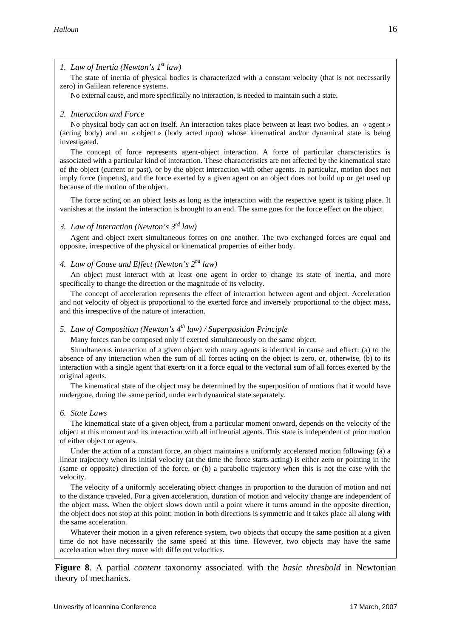#### *1. Law of Inertia (Newton's 1st law)*

 The state of inertia of physical bodies is characterized with a constant velocity (that is not necessarily zero) in Galilean reference systems.

No external cause, and more specifically no interaction, is needed to maintain such a state.

#### *2. Interaction and Force*

No physical body can act on itself. An interaction takes place between at least two bodies, an « agent » (acting body) and an « object » (body acted upon) whose kinematical and/or dynamical state is being investigated.

The concept of force represents agent-object interaction. A force of particular characteristics is associated with a particular kind of interaction. These characteristics are not affected by the kinematical state of the object (current or past), or by the object interaction with other agents. In particular, motion does not imply force (impetus), and the force exerted by a given agent on an object does not build up or get used up because of the motion of the object.

 The force acting on an object lasts as long as the interaction with the respective agent is taking place. It vanishes at the instant the interaction is brought to an end. The same goes for the force effect on the object.

#### *3. Law of Interaction (Newton's 3rd law)*

Agent and object exert simultaneous forces on one another. The two exchanged forces are equal and opposite, irrespective of the physical or kinematical properties of either body.

# *4. Law of Cause and Effect (Newton's 2nd law)*

An object must interact with at least one agent in order to change its state of inertia, and more specifically to change the direction or the magnitude of its velocity.

 The concept of acceleration represents the effect of interaction between agent and object. Acceleration and not velocity of object is proportional to the exerted force and inversely proportional to the object mass, and this irrespective of the nature of interaction.

#### *5. Law of Composition (Newton's 4th law) / Superposition Principle*

Many forces can be composed only if exerted simultaneously on the same object.

 Simultaneous interaction of a given object with many agents is identical in cause and effect: (a) to the absence of any interaction when the sum of all forces acting on the object is zero, or, otherwise, (b) to its interaction with a single agent that exerts on it a force equal to the vectorial sum of all forces exerted by the original agents.

 The kinematical state of the object may be determined by the superposition of motions that it would have undergone, during the same period, under each dynamical state separately.

#### *6. State Laws*

The kinematical state of a given object, from a particular moment onward, depends on the velocity of the object at this moment and its interaction with all influential agents. This state is independent of prior motion of either object or agents.

 Under the action of a constant force, an object maintains a uniformly accelerated motion following: (a) a linear trajectory when its initial velocity (at the time the force starts acting) is either zero or pointing in the (same or opposite) direction of the force, or (b) a parabolic trajectory when this is not the case with the velocity.

 The velocity of a uniformly accelerating object changes in proportion to the duration of motion and not to the distance traveled. For a given acceleration, duration of motion and velocity change are independent of the object mass. When the object slows down until a point where it turns around in the opposite direction, the object does not stop at this point; motion in both directions is symmetric and it takes place all along with the same acceleration.

Whatever their motion in a given reference system, two objects that occupy the same position at a given time do not have necessarily the same speed at this time. However, two objects may have the same acceleration when they move with different velocities.

**Figure 8**. A partial *content* taxonomy associated with the *basic threshold* in Newtonian theory of mechanics.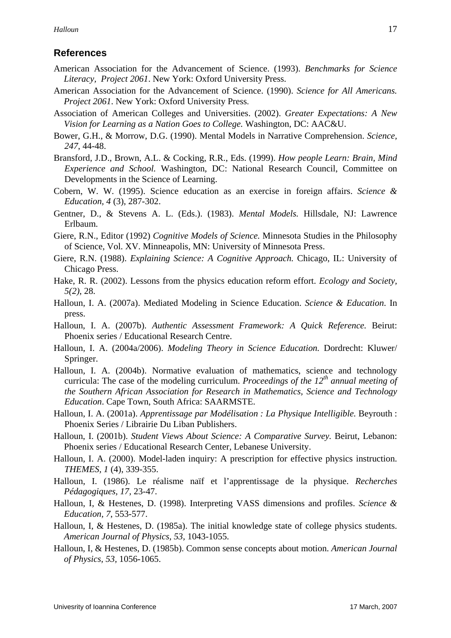# **References**

- American Association for the Advancement of Science. (1993). *Benchmarks for Science Literacy, Project 2061*. New York: Oxford University Press.
- American Association for the Advancement of Science. (1990). *Science for All Americans. Project 2061*. New York: Oxford University Press.
- Association of American Colleges and Universities. (2002). *Greater Expectations: A New Vision for Learning as a Nation Goes to College.* Washington, DC: AAC&U.
- Bower, G.H., & Morrow, D.G. (1990). Mental Models in Narrative Comprehension. *Science, 247*, 44-48.
- Bransford, J.D., Brown, A.L. & Cocking, R.R., Eds. (1999). *How people Learn: Brain, Mind Experience and School.* Washington, DC: National Research Council, Committee on Developments in the Science of Learning.
- Cobern, W. W. (1995). Science education as an exercise in foreign affairs. *Science & Education, 4* (3), 287-302.
- Gentner, D., & Stevens A. L. (Eds.). (1983). *Mental Models.* Hillsdale, NJ: Lawrence Erlbaum.
- Giere, R.N., Editor (1992) *Cognitive Models of Science.* Minnesota Studies in the Philosophy of Science, Vol. XV. Minneapolis, MN: University of Minnesota Press.
- Giere, R.N. (1988). *Explaining Science: A Cognitive Approach.* Chicago, IL: University of Chicago Press.
- Hake, R. R. (2002). Lessons from the physics education reform effort. *Ecology and Society, 5(2)*, 28.
- Halloun, I. A. (2007a). Mediated Modeling in Science Education. *Science & Education*. In press.
- Halloun, I. A. (2007b). *Authentic Assessment Framework: A Quick Reference.* Beirut: Phoenix series / Educational Research Centre.
- Halloun, I. A. (2004a/2006). *Modeling Theory in Science Education.* Dordrecht: Kluwer/ Springer.
- Halloun, I. A. (2004b). Normative evaluation of mathematics, science and technology curricula: The case of the modeling curriculum. *Proceedings of the 12th annual meeting of the Southern African Association for Research in Mathematics, Science and Technology Education*. Cape Town, South Africa: SAARMSTE.
- Halloun, I. A. (2001a). *Apprentissage par Modélisation : La Physique Intelligible.* Beyrouth : Phoenix Series / Librairie Du Liban Publishers.
- Halloun, I. (2001b). *Student Views About Science: A Comparative Survey.* Beirut, Lebanon: Phoenix series / Educational Research Center, Lebanese University.
- Halloun, I. A. (2000). Model-laden inquiry: A prescription for effective physics instruction. *THEMES, 1* (4), 339-355.
- Halloun, I. (1986). Le réalisme naïf et l'apprentissage de la physique. *Recherches Pédagogiques, 17,* 23-47.
- Halloun, I, & Hestenes, D. (1998). Interpreting VASS dimensions and profiles. *Science & Education, 7*, 553-577.
- Halloun, I, & Hestenes, D. (1985a). The initial knowledge state of college physics students. *American Journal of Physics, 53,* 1043-1055.
- Halloun, I, & Hestenes, D. (1985b). Common sense concepts about motion. *American Journal of Physics, 53,* 1056-1065.